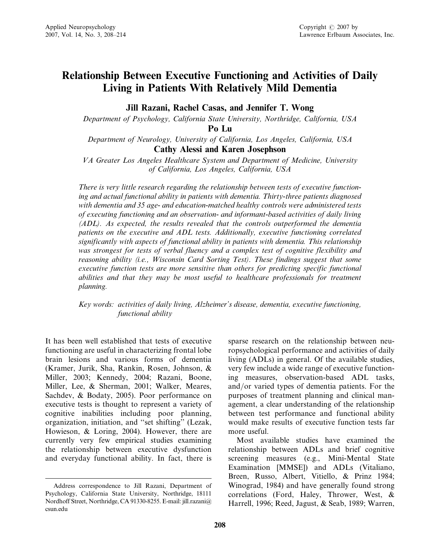# Relationship Between Executive Functioning and Activities of Daily Living in Patients With Relatively Mild Dementia

Jill Razani, Rachel Casas, and Jennifer T. Wong

Department of Psychology, California State University, Northridge, California, USA Po Lu

Department of Neurology, University of California, Los Angeles, California, USA Cathy Alessi and Karen Josephson

VA Greater Los Angeles Healthcare System and Department of Medicine, University of California, Los Angeles, California, USA

There is very little research regarding the relationship between tests of executive functioning and actual functional ability in patients with dementia. Thirty-three patients diagnosed with dementia and 35 age- and education-matched healthy controls were administered tests of executing functioning and an observation- and informant-based activities of daily living (ADL). As expected, the results revealed that the controls outperformed the dementia patients on the executive and ADL tests. Additionally, executive functioning correlated significantly with aspects of functional ability in patients with dementia. This relationship was strongest for tests of verbal fluency and a complex test of cognitive flexibility and reasoning ability (i.e., Wisconsin Card Sorting Test). These findings suggest that some executive function tests are more sensitive than others for predicting specific functional abilities and that they may be most useful to healthcare professionals for treatment planning.

Key words: activities of daily living, Alzheimer's disease, dementia, executive functioning, functional ability

It has been well established that tests of executive functioning are useful in characterizing frontal lobe brain lesions and various forms of dementia (Kramer, Jurik, Sha, Rankin, Rosen, Johnson, & Miller, 2003; Kennedy, 2004; Razani, Boone, Miller, Lee, & Sherman, 2001; Walker, Meares, Sachdev, & Bodaty, 2005). Poor performance on executive tests is thought to represent a variety of cognitive inabilities including poor planning, organization, initiation, and ''set shifting'' (Lezak, Howieson, & Loring, 2004). However, there are currently very few empirical studies examining the relationship between executive dysfunction and everyday functional ability. In fact, there is

sparse research on the relationship between neuropsychological performance and activities of daily living (ADLs) in general. Of the available studies, very few include a wide range of executive functioning measures, observation-based ADL tasks, and/or varied types of dementia patients. For the purposes of treatment planning and clinical management, a clear understanding of the relationship between test performance and functional ability would make results of executive function tests far more useful.

Most available studies have examined the relationship between ADLs and brief cognitive screening measures (e.g., Mini-Mental State Examination [MMSE]) and ADLs (Vitaliano, Breen, Russo, Albert, Vitiello, & Prinz 1984; Winograd, 1984) and have generally found strong correlations (Ford, Haley, Thrower, West, & Harrell, 1996; Reed, Jagust, & Seab, 1989; Warren,

Address correspondence to Jill Razani, Department of Psychology, California State University, Northridge, 18111 Nordhoff Street, Northridge, CA 91330-8255. E-mail: jill.razani@ csun.edu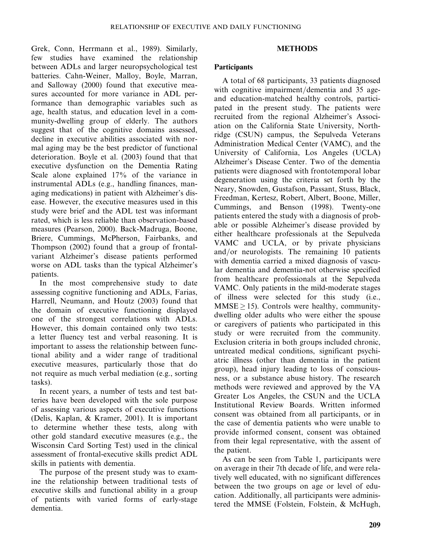Grek, Conn, Herrmann et al., 1989). Similarly, few studies have examined the relationship between ADLs and larger neuropsychological test batteries. Cahn-Weiner, Malloy, Boyle, Marran, and Salloway (2000) found that executive measures accounted for more variance in ADL performance than demographic variables such as age, health status, and education level in a community-dwelling group of elderly. The authors suggest that of the cognitive domains assessed, decline in executive abilities associated with normal aging may be the best predictor of functional deterioration. Boyle et al. (2003) found that that executive dysfunction on the Dementia Rating Scale alone explained 17% of the variance in instrumental ADLs (e.g., handling finances, managing medications) in patient with Alzheimer's disease. However, the executive measures used in this study were brief and the ADL test was informant rated, which is less reliable than observation-based measures (Pearson, 2000). Back-Madruga, Boone, Briere, Cummings, McPherson, Fairbanks, and Thompson (2002) found that a group of frontalvariant Alzheimer's disease patients performed worse on ADL tasks than the typical Alzheimer's patients.

In the most comprehensive study to date assessing cognitive functioning and ADLs, Farias, Harrell, Neumann, and Houtz (2003) found that the domain of executive functioning displayed one of the strongest correlations with ADLs. However, this domain contained only two tests: a letter fluency test and verbal reasoning. It is important to assess the relationship between functional ability and a wider range of traditional executive measures, particularly those that do not require as much verbal mediation (e.g., sorting tasks).

In recent years, a number of tests and test batteries have been developed with the sole purpose of assessing various aspects of executive functions (Delis, Kaplan, & Kramer, 2001). It is important to determine whether these tests, along with other gold standard executive measures (e.g., the Wisconsin Card Sorting Test) used in the clinical assessment of frontal-executive skills predict ADL skills in patients with dementia.

The purpose of the present study was to examine the relationship between traditional tests of executive skills and functional ability in a group of patients with varied forms of early-stage dementia.

# METHODS

# **Participants**

A total of 68 participants, 33 patients diagnosed with cognitive impairment/dementia and 35 ageand education-matched healthy controls, participated in the present study. The patients were recruited from the regional Alzheimer's Association on the California State University, Northridge (CSUN) campus, the Sepulveda Veterans Administration Medical Center (VAMC), and the University of California, Los Angeles (UCLA) Alzheimer's Disease Center. Two of the dementia patients were diagnosed with frontotemporal lobar degeneration using the criteria set forth by the Neary, Snowden, Gustafson, Passant, Stuss, Black, Freedman, Kertesz, Robert, Albert, Boone, Miller, Cummings, and Benson (1998). Twenty-one patients entered the study with a diagnosis of probable or possible Alzheimer's disease provided by either healthcare professionals at the Sepulveda VAMC and UCLA, or by private physicians and/or neurologists. The remaining  $10$  patients with dementia carried a mixed diagnosis of vascular dementia and dementia-not otherwise specified from healthcare professionals at the Sepulveda VAMC. Only patients in the mild-moderate stages of illness were selected for this study (i.e.,  $MMSE \geq 15$ ). Controls were healthy, communitydwelling older adults who were either the spouse or caregivers of patients who participated in this study or were recruited from the community. Exclusion criteria in both groups included chronic, untreated medical conditions, significant psychiatric illness (other than dementia in the patient group), head injury leading to loss of consciousness, or a substance abuse history. The research methods were reviewed and approved by the VA Greater Los Angeles, the CSUN and the UCLA Institutional Review Boards. Written informed consent was obtained from all participants, or in the case of dementia patients who were unable to provide informed consent, consent was obtained from their legal representative, with the assent of the patient.

As can be seen from Table 1, participants were on average in their 7th decade of life, and were relatively well educated, with no significant differences between the two groups on age or level of education. Additionally, all participants were administered the MMSE (Folstein, Folstein, & McHugh,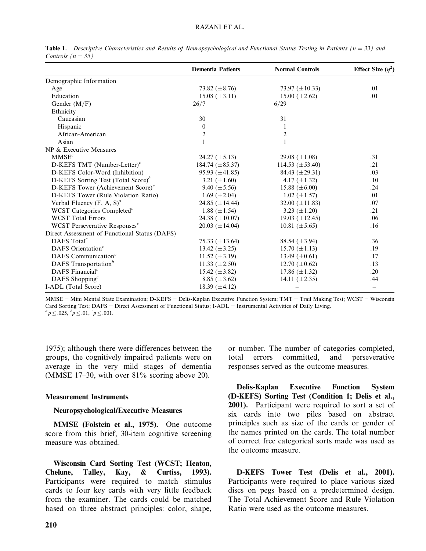|                                                     | <b>Dementia Patients</b> | <b>Normal Controls</b> | Effect Size $(\eta^2)$ |
|-----------------------------------------------------|--------------------------|------------------------|------------------------|
| Demographic Information                             |                          |                        |                        |
| Age                                                 | 73.82 $(\pm 8.76)$       | 73.97 $(\pm 10.33)$    | .01                    |
| Education                                           | 15.08 $(\pm 3.11)$       | 15.00 $(\pm 2.62)$     | .01                    |
| Gender $(M/F)$                                      | 26/7                     | 6/29                   |                        |
| Ethnicity                                           |                          |                        |                        |
| Caucasian                                           | 30                       | 31                     |                        |
| Hispanic                                            | $\overline{0}$           | 1                      |                        |
| African-American                                    | $\overline{c}$           | $\sqrt{2}$             |                        |
| Asian                                               | $\mathbf{1}$             |                        |                        |
| NP & Executive Measures                             |                          |                        |                        |
| MMSE <sup>c</sup>                                   | 24.27 $(\pm 5.13)$       | 29.08 $(\pm 1.08)$     | .31                    |
| D-KEFS TMT (Number-Letter) $^c$                     | 184.74 $(\pm 85.37)$     | 114.53 $(\pm 53.40)$   | .21                    |
| D-KEFS Color-Word (Inhibition)                      | 95.93 $(\pm 41.85)$      | 84.43 $(\pm 29.31)$    | .03                    |
| D-KEFS Sorting Test (Total Score) $b$               | 3.21 $(\pm 1.60)$        | 4.17 $(\pm 1.32)$      | .10                    |
| D-KEFS Tower (Achievement Score) $c$                | 9.40 $(\pm 5.56)$        | 15.88 $(\pm 6.00)$     | .24                    |
| D-KEFS Tower (Rule Violation Ratio)                 | 1.69 $(\pm 2.04)$        | $1.02 \ (\pm 1.57)$    | .01                    |
| Verbal Fluency $(F, A, S)^a$                        | 24.85 $(\pm 14.44)$      | 32.00 $(\pm 11.83)$    | .07                    |
| WCST Categories Completed <sup><math>c</math></sup> | 1.88 $(\pm 1.54)$        | 3.23 $(\pm 1.20)$      | .21                    |
| <b>WCST Total Errors</b>                            | 24.38 $(\pm 10.07)$      | 19.03 $(\pm 12.45)$    | .06                    |
| WCST Perseverative Responses $c$                    | $20.03 \ (\pm 14.04)$    | 10.81 $(\pm 5.65)$     | .16                    |
| Direct Assessment of Functional Status (DAFS)       |                          |                        |                        |
| DAFS Total <sup><math>c</math></sup>                | 75.33 $(\pm 13.64)$      | 88.54 $(\pm 3.94)$     | .36                    |
| DAFS Orientation <sup><math>c</math></sup>          | 13.42 $(\pm 3.25)$       | 15.70 $(\pm 1.13)$     | .19                    |
| DAFS Communication $^c$                             | 11.52 $(\pm 3.19)$       | 13.49 $(\pm 0.61)$     | .17                    |
| DAFS Transportation <sup>b</sup>                    | 11.33 $(\pm 2.50)$       | 12.70 $(\pm 0.62)$     | .13                    |
| DAFS Financial <sup><math>c</math></sup>            | 15.42 $(\pm 3.82)$       | 17.86 $(\pm 1.32)$     | .20                    |
| DAFS Shopping $c$                                   | 8.85 $(\pm 3.62)$        | 14.11 $(\pm 2.35)$     | .44                    |
| I-ADL (Total Score)                                 | 18.39 $(\pm 4.12)$       |                        |                        |

**Table 1.** Descriptive Characteristics and Results of Neuropsychological and Functional Status Testing in Patients ( $n = 33$ ) and Controls  $(n = 35)$ 

 $MMSE = Mini$  Mental State Examination; D-KEFS = Delis-Kaplan Executive Function System; TMT = Trail Making Test; WCST = Wisconsin Card Sorting Test; DAFS = Direct Assessment of Functional Status; I-ADL = Instrumental Activities of Daily Living.  $p \leq .01, \,^c p \leq .001.$ 

1975); although there were differences between the groups, the cognitively impaired patients were on average in the very mild stages of dementia (MMSE 17–30, with over 81% scoring above 20).

#### Measurement Instruments

#### Neuropsychological/Executive Measures

MMSE (Folstein et al., 1975). One outcome score from this brief, 30-item cognitive screening measure was obtained.

Wisconsin Card Sorting Test (WCST; Heaton, Chelune, Talley, Kay, & Curtiss, 1993). Participants were required to match stimulus cards to four key cards with very little feedback from the examiner. The cards could be matched based on three abstract principles: color, shape, or number. The number of categories completed, total errors committed, and perseverative responses served as the outcome measures.

Delis-Kaplan Executive Function System (D-KEFS) Sorting Test (Condition 1; Delis et al., 2001). Participant were required to sort a set of six cards into two piles based on abstract principles such as size of the cards or gender of the names printed on the cards. The total number of correct free categorical sorts made was used as the outcome measure.

D-KEFS Tower Test (Delis et al., 2001). Participants were required to place various sized discs on pegs based on a predetermined design. The Total Achievement Score and Rule Violation Ratio were used as the outcome measures.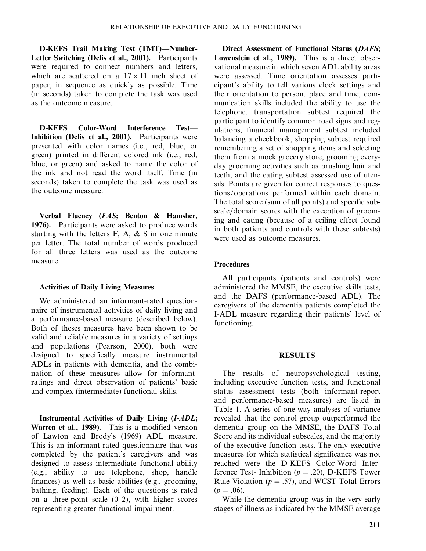D-KEFS Trail Making Test (TMT)—Number-Letter Switching (Delis et al., 2001). Participants were required to connect numbers and letters, which are scattered on a  $17 \times 11$  inch sheet of paper, in sequence as quickly as possible. Time (in seconds) taken to complete the task was used as the outcome measure.

D-KEFS Color-Word Interference Test— Inhibition (Delis et al., 2001). Participants were presented with color names (i.e., red, blue, or green) printed in different colored ink (i.e., red, blue, or green) and asked to name the color of the ink and not read the word itself. Time (in seconds) taken to complete the task was used as the outcome measure.

Verbal Fluency (FAS; Benton & Hamsher, 1976). Participants were asked to produce words starting with the letters  $F$ ,  $A$ ,  $\& S$  in one minute per letter. The total number of words produced for all three letters was used as the outcome measure.

#### Activities of Daily Living Measures

We administered an informant-rated questionnaire of instrumental activities of daily living and a performance-based measure (described below). Both of theses measures have been shown to be valid and reliable measures in a variety of settings and populations (Pearson, 2000), both were designed to specifically measure instrumental ADLs in patients with dementia, and the combination of these measures allow for informantratings and direct observation of patients' basic and complex (intermediate) functional skills.

Instrumental Activities of Daily Living (I-ADL; Warren et al., 1989). This is a modified version of Lawton and Brody's (1969) ADL measure. This is an informant-rated questionnaire that was completed by the patient's caregivers and was designed to assess intermediate functional ability (e.g., ability to use telephone, shop, handle finances) as well as basic abilities (e.g., grooming, bathing, feeding). Each of the questions is rated on a three-point scale  $(0-2)$ , with higher scores representing greater functional impairment.

Direct Assessment of Functional Status (DAFS; Lowenstein et al., 1989). This is a direct observational measure in which seven ADL ability areas were assessed. Time orientation assesses participant's ability to tell various clock settings and their orientation to person, place and time, communication skills included the ability to use the telephone, transportation subtest required the participant to identify common road signs and regulations, financial management subtest included balancing a checkbook, shopping subtest required remembering a set of shopping items and selecting them from a mock grocery store, grooming everyday grooming activities such as brushing hair and teeth, and the eating subtest assessed use of utensils. Points are given for correct responses to questions/operations performed within each domain. The total score (sum of all points) and specific subscale/domain scores with the exception of grooming and eating (because of a ceiling effect found in both patients and controls with these subtests) were used as outcome measures.

## **Procedures**

All participants (patients and controls) were administered the MMSE, the executive skills tests, and the DAFS (performance-based ADL). The caregivers of the dementia patients completed the I-ADL measure regarding their patients' level of functioning.

### RESULTS

The results of neuropsychological testing, including executive function tests, and functional status assessment tests (both informant-report and performance-based measures) are listed in Table 1. A series of one-way analyses of variance revealed that the control group outperformed the dementia group on the MMSE, the DAFS Total Score and its individual subscales, and the majority of the executive function tests. The only executive measures for which statistical significance was not reached were the D-KEFS Color-Word Interference Test- Inhibition ( $p = .20$ ), D-KEFS Tower Rule Violation ( $p = .57$ ), and WCST Total Errors  $(p = .06)$ .

While the dementia group was in the very early stages of illness as indicated by the MMSE average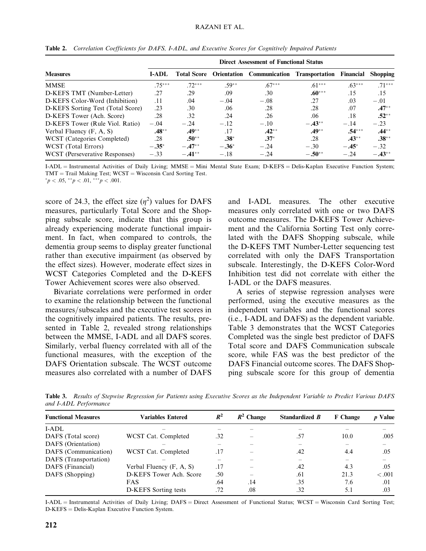#### RAZANI ET AL.

|                                   | <b>Direct Assessment of Functional Status</b> |           |         |                                                             |          |           |                 |
|-----------------------------------|-----------------------------------------------|-----------|---------|-------------------------------------------------------------|----------|-----------|-----------------|
| <b>Measures</b>                   | <b>I-ADL</b>                                  |           |         | <b>Total Score Orientation Communication Transportation</b> |          | Financial | <b>Shopping</b> |
| <b>MMSE</b>                       | $.75***$                                      | $.72***$  | $.59**$ | $.67***$                                                    | $.61***$ | $.63***$  | $.71***$        |
| D-KEFS TMT (Number-Letter)        | .27                                           | .29       | .09     | .30                                                         | $.60***$ | .15       | .15             |
| D-KEFS Color-Word (Inhibition)    | .11                                           | .04       | $-.04$  | $-.08$                                                      | .27      | .03       | $-.01$          |
| D-KEFS Sorting Test (Total Score) | .23                                           | .30       | .06     | .28                                                         | .28      | .07       | $.47**$         |
| D-KEFS Tower (Ach. Score)         | .28                                           | .32       | .24     | .26                                                         | .06      | .18       | $.52**$         |
| D-KEFS Tower (Rule Viol. Ratio)   | $-.04$                                        | $-.24$    | $-.12$  | $-.10$                                                      | $-.43**$ | $-.14$    | $-.23$          |
| Verbal Fluency $(F, A, S)$        | $.48**$                                       | $.49**$   | .17     | $.42**$                                                     | $.49**$  | $.54***$  | $.44**$         |
| WCST (Categories Completed)       | .28                                           | $.50**$   | $.38*$  | $.37*$                                                      | .28      | $.43**$   | $.38**$         |
| WCST (Total Errors)               | $-.35^*$                                      | $-.47**$  | $-.36*$ | $-.24$                                                      | $-.30$   | $-.45*$   | $-.32$          |
| WCST (Perseverative Responses)    | $-.33$                                        | $-.41***$ | $-.18$  | $-.24$                                                      | $-.50**$ | $-.24$    | $-.43***$       |

Table 2. Correlation Coefficients for DAFS, I-ADL, and Executive Scores for Cognitively Impaired Patients

I-ADL = Instrumental Activities of Daily Living; MMSE = Mini Mental State Exam; D-KEFS = Delis-Kaplan Executive Function System;  $TMT = Traid$  Making Test;  $WCST = Wiscosin$  Card Sorting Test.

 ${}^*p$  < .05,  ${}^*p$  < .01,  ${}^*{}^*p$  < .001.

score of 24.3, the effect size  $(\eta^2)$  values for DAFS measures, particularly Total Score and the Shopping subscale score, indicate that this group is already experiencing moderate functional impairment. In fact, when compared to controls, the dementia group seems to display greater functional rather than executive impairment (as observed by the effect sizes). However, moderate effect sizes in WCST Categories Completed and the D-KEFS Tower Achievement scores were also observed.

Bivariate correlations were performed in order to examine the relationship between the functional measures/subscales and the executive test scores in the cognitively impaired patients. The results, presented in Table 2, revealed strong relationships between the MMSE, I-ADL and all DAFS scores. Similarly, verbal fluency correlated with all of the functional measures, with the exception of the DAFS Orientation subscale. The WCST outcome measures also correlated with a number of DAFS

and I-ADL measures. The other executive measures only correlated with one or two DAFS outcome measures. The D-KEFS Tower Achievement and the California Sorting Test only correlated with the DAFS Shopping subscale, while the D-KEFS TMT Number-Letter sequencing test correlated with only the DAFS Transportation subscale. Interestingly, the D-KEFS Color-Word Inhibition test did not correlate with either the I-ADL or the DAFS measures.

A series of stepwise regression analyses were performed, using the executive measures as the independent variables and the functional scores (i.e., I-ADL and DAFS) as the dependent variable. Table 3 demonstrates that the WCST Categories Completed was the single best predictor of DAFS Total score and DAFS Communication subscale score, while FAS was the best predictor of the DAFS Financial outcome scores. The DAFS Shopping subscale score for this group of dementia

Table 3. Results of Stepwise Regression for Patients using Executive Scores as the Independent Variable to Predict Various DAFS and I-ADL Performance

| <b>Functional Measures</b> | <b>Variables Entered</b> | $R^2$ | $R^2$ Change             | Standardized B | <b>F</b> Change | p Value |
|----------------------------|--------------------------|-------|--------------------------|----------------|-----------------|---------|
| I-ADL                      |                          |       |                          |                |                 |         |
| DAFS (Total score)         | WCST Cat. Completed      | .32   |                          | .57            | 10.0            | .005    |
| DAFS (Orientation)         |                          |       |                          |                |                 |         |
| DAFS (Communication)       | WCST Cat. Completed      | .17   |                          | .42            | 4.4             | .05     |
| DAFS (Transportation)      |                          |       |                          |                |                 |         |
| DAFS (Financial)           | Verbal Fluency (F, A, S) | .17   |                          | .42            | 4.3             | .05     |
| DAFS (Shopping)            | D-KEFS Tower Ach. Score  | .50   | $\overline{\phantom{0}}$ | .61            | 21.3            | $-.001$ |
|                            | <b>FAS</b>               | .64   | .14                      | .35            | 7.6             | .01     |
|                            | D-KEFS Sorting tests     | .72   | .08                      | .32            | 5.1             | .03     |

I-ADL = Instrumental Activities of Daily Living; DAFS = Direct Assessment of Functional Status; WCST = Wisconsin Card Sorting Test;  $D$ -KEFS = Delis-Kaplan Executive Function System.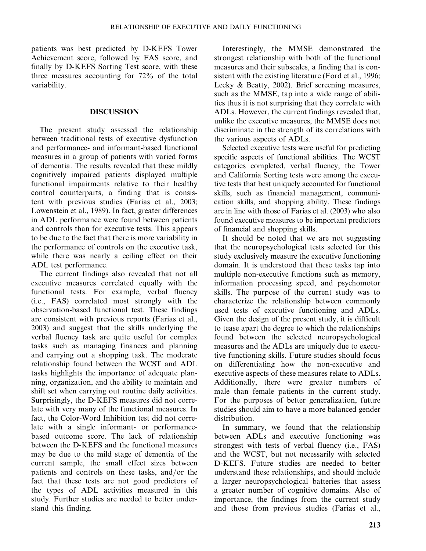patients was best predicted by D-KEFS Tower Achievement score, followed by FAS score, and finally by D-KEFS Sorting Test score, with these three measures accounting for 72% of the total variability.

# DISCUSSION

The present study assessed the relationship between traditional tests of executive dysfunction and performance- and informant-based functional measures in a group of patients with varied forms of dementia. The results revealed that these mildly cognitively impaired patients displayed multiple functional impairments relative to their healthy control counterparts, a finding that is consistent with previous studies (Farias et al., 2003; Lowenstein et al., 1989). In fact, greater differences in ADL performance were found between patients and controls than for executive tests. This appears to be due to the fact that there is more variability in the performance of controls on the executive task, while there was nearly a ceiling effect on their ADL test performance.

The current findings also revealed that not all executive measures correlated equally with the functional tests. For example, verbal fluency (i.e., FAS) correlated most strongly with the observation-based functional test. These findings are consistent with previous reports (Farias et al., 2003) and suggest that the skills underlying the verbal fluency task are quite useful for complex tasks such as managing finances and planning and carrying out a shopping task. The moderate relationship found between the WCST and ADL tasks highlights the importance of adequate planning, organization, and the ability to maintain and shift set when carrying out routine daily activities. Surprisingly, the D-KEFS measures did not correlate with very many of the functional measures. In fact, the Color-Word Inhibition test did not correlate with a single informant- or performancebased outcome score. The lack of relationship between the D-KEFS and the functional measures may be due to the mild stage of dementia of the current sample, the small effect sizes between patients and controls on these tasks, and/or the fact that these tests are not good predictors of the types of ADL activities measured in this study. Further studies are needed to better understand this finding.

Interestingly, the MMSE demonstrated the strongest relationship with both of the functional measures and their subscales, a finding that is consistent with the existing literature (Ford et al., 1996; Lecky & Beatty, 2002). Brief screening measures, such as the MMSE, tap into a wide range of abilities thus it is not surprising that they correlate with ADLs. However, the current findings revealed that, unlike the executive measures, the MMSE does not discriminate in the strength of its correlations with the various aspects of ADLs.

Selected executive tests were useful for predicting specific aspects of functional abilities. The WCST categories completed, verbal fluency, the Tower and California Sorting tests were among the executive tests that best uniquely accounted for functional skills, such as financial management, communication skills, and shopping ability. These findings are in line with those of Farias et al. (2003) who also found executive measures to be important predictors of financial and shopping skills.

It should be noted that we are not suggesting that the neuropsychological tests selected for this study exclusively measure the executive functioning domain. It is understood that these tasks tap into multiple non-executive functions such as memory, information processing speed, and psychomotor skills. The purpose of the current study was to characterize the relationship between commonly used tests of executive functioning and ADLs. Given the design of the present study, it is difficult to tease apart the degree to which the relationships found between the selected neuropsychological measures and the ADLs are uniquely due to executive functioning skills. Future studies should focus on differentiating how the non-executive and executive aspects of these measures relate to ADLs. Additionally, there were greater numbers of male than female patients in the current study. For the purposes of better generalization, future studies should aim to have a more balanced gender distribution.

In summary, we found that the relationship between ADLs and executive functioning was strongest with tests of verbal fluency (i.e., FAS) and the WCST, but not necessarily with selected D-KEFS. Future studies are needed to better understand these relationships, and should include a larger neuropsychological batteries that assess a greater number of cognitive domains. Also of importance, the findings from the current study and those from previous studies (Farias et al.,